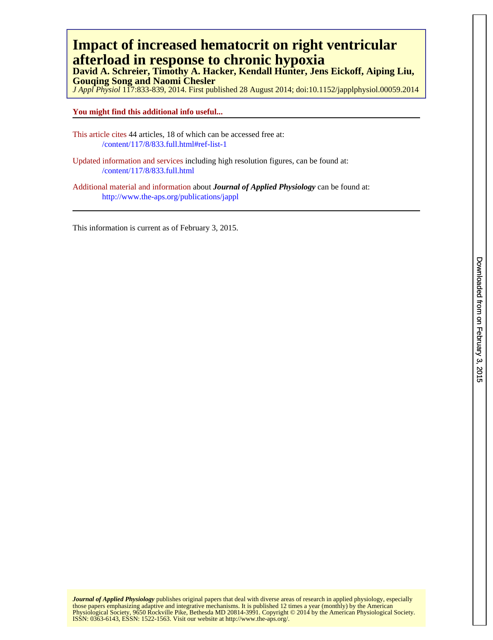# **afterload in response to chronic hypoxia Impact of increased hematocrit on right ventricular**

**Gouqing Song and Naomi Chesler David A. Schreier, Timothy A. Hacker, Kendall Hunter, Jens Eickoff, Aiping Liu,**

*J Appl Physiol* 117:833-839, 2014. First published 28 August 2014; doi:10.1152/japplphysiol.00059.2014

# **You might find this additional info useful...**

- This article cites 44 articles, 18 of which can be accessed free at: /content/117/8/833.full.html#ref-list-1
- Updated information and services including high resolution figures, can be found at: /content/117/8/833.full.html

Additional material and information about *Journal of Applied Physiology* can be found at: <http://www.the-aps.org/publications/jappl>

This information is current as of February 3, 2015.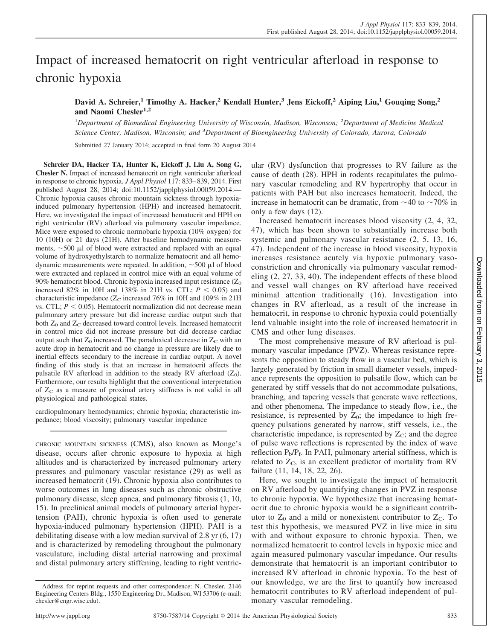# Impact of increased hematocrit on right ventricular afterload in response to chronic hypoxia

**David A. Schreier,<sup>1</sup> Timothy A. Hacker,<sup>2</sup> Kendall Hunter,<sup>3</sup> Jens Eickoff,<sup>2</sup> Aiping Liu,<sup>1</sup> Gouqing Song,<sup>2</sup> and Naomi Chesler1,2**

1 *Department of Biomedical Engineering University of Wisconsin, Madison, Wisconson;* <sup>2</sup> *Department of Medicine Medical Science Center, Madison, Wisconsin; and* <sup>3</sup> *Department of Bioengineering University of Colorado, Aurora, Colorado*

Submitted 27 January 2014; accepted in final form 20 August 2014

**Schreier DA, Hacker TA, Hunter K, Eickoff J, Liu A, Song G, Chesler N.** Impact of increased hematocrit on right ventricular afterload in response to chronic hypoxia. *J Appl Physiol* 117: 833– 839, 2014. First published August 28, 2014; doi:10.1152/japplphysiol.00059.2014.— Chronic hypoxia causes chronic mountain sickness through hypoxiainduced pulmonary hypertension (HPH) and increased hematocrit. Here, we investigated the impact of increased hematocrit and HPH on right ventricular (RV) afterload via pulmonary vascular impedance. Mice were exposed to chronic normobaric hypoxia (10% oxygen) for 10 (10H) or 21 days (21H). After baseline hemodynamic measurements,  $\sim$  500  $\mu$ l of blood were extracted and replaced with an equal volume of hydroxyethylstarch to normalize hematocrit and all hemodynamic measurements were repeated. In addition,  $\sim$  500  $\mu$ l of blood were extracted and replaced in control mice with an equal volume of 90% hematocrit blood. Chronic hypoxia increased input resistance  $(Z_0)$ increased 82% in 10H and 138% in 21H vs. CTL;  $P < 0.05$ ) and characteristic impedance ( $Z_C$  increased 76% in 10H and 109% in 21H vs. CTL;  $P < 0.05$ ). Hematocrit normalization did not decrease mean pulmonary artery pressure but did increase cardiac output such that both Z<sub>0</sub> and Z<sub>C</sub> decreased toward control levels. Increased hematocrit in control mice did not increase pressure but did decrease cardiac output such that  $Z_0$  increased. The paradoxical decrease in  $Z_C$  with an acute drop in hematocrit and no change in pressure are likely due to inertial effects secondary to the increase in cardiac output. A novel finding of this study is that an increase in hematocrit affects the pulsatile RV afterload in addition to the steady RV afterload  $(Z_0)$ . Furthermore, our results highlight that the conventional interpretation of  $Z_{\rm C}$  as a measure of proximal artery stiffness is not valid in all physiological and pathological states.

cardiopulmonary hemodynamics; chronic hypoxia; characteristic impedance; blood viscosity; pulmonary vascular impedance

CHRONIC MOUNTAIN SICKNESS (CMS), also known as Monge's disease, occurs after chronic exposure to hypoxia at high altitudes and is characterized by increased pulmonary artery pressures and pulmonary vascular resistance (29) as well as increased hematocrit (19). Chronic hypoxia also contributes to worse outcomes in lung diseases such as chronic obstructive pulmonary disease, sleep apnea, and pulmonary fibrosis (1, 10, 15). In preclinical animal models of pulmonary arterial hypertension (PAH), chronic hypoxia is often used to generate hypoxia-induced pulmonary hypertension (HPH). PAH is a debilitating disease with a low median survival of 2.8 yr (6, 17) and is characterized by remodeling throughout the pulmonary vasculature, including distal arterial narrowing and proximal and distal pulmonary artery stiffening, leading to right ventric-

ular (RV) dysfunction that progresses to RV failure as the cause of death (28). HPH in rodents recapitulates the pulmonary vascular remodeling and RV hypertrophy that occur in patients with PAH but also increases hematocrit. Indeed, the increase in hematocrit can be dramatic, from  $\sim$ 40 to  $\sim$ 70% in only a few days (12).

Increased hematocrit increases blood viscosity (2, 4, 32, 47), which has been shown to substantially increase both systemic and pulmonary vascular resistance (2, 5, 13, 16, 47). Independent of the increase in blood viscosity, hypoxia increases resistance acutely via hypoxic pulmonary vasoconstriction and chronically via pulmonary vascular remodeling (2, 27, 33, 40). The independent effects of these blood and vessel wall changes on RV afterload have received minimal attention traditionally (16). Investigation into changes in RV afterload, as a result of the increase in hematocrit, in response to chronic hypoxia could potentially lend valuable insight into the role of increased hematocrit in CMS and other lung diseases.

The most comprehensive measure of RV afterload is pulmonary vascular impedance (PVZ). Whereas resistance represents the opposition to steady flow in a vascular bed, which is largely generated by friction in small diameter vessels, impedance represents the opposition to pulsatile flow, which can be generated by stiff vessels that do not accommodate pulsations, branching, and tapering vessels that generate wave reflections, and other phenomena. The impedance to steady flow, i.e., the resistance, is represented by  $Z_0$ ; the impedance to high frequency pulsations generated by narrow, stiff vessels, i.e., the characteristic impedance, is represented by  $Z_{\rm C}$ ; and the degree of pulse wave reflections is represented by the index of wave reflection  $P_b/P_f$ . In PAH, pulmonary arterial stiffness, which is related to  $Z_C$ , is an excellent predictor of mortality from RV failure (11, 14, 18, 22, 26).

Here, we sought to investigate the impact of hematocrit on RV afterload by quantifying changes in PVZ in response to chronic hypoxia. We hypothesize that increasing hematocrit due to chronic hypoxia would be a significant contributor to  $Z_0$  and a mild or nonexistent contributor to  $Z_C$ . To test this hypothesis, we measured PVZ in live mice in situ with and without exposure to chronic hypoxia. Then, we normalized hematocrit to control levels in hypoxic mice and again measured pulmonary vascular impedance. Our results demonstrate that hematocrit is an important contributor to increased RV afterload in chronic hypoxia. To the best of our knowledge, we are the first to quantify how increased hematocrit contributes to RV afterload independent of pulmonary vascular remodeling.

Address for reprint requests and other correspondence: N. Chesler, 2146 Engineering Centers Bldg., 1550 Engineering Dr., Madison, WI 53706 (e-mail: [chesler@engr.wisc.edu\)](mailto:chesler@engr.wisc.edu).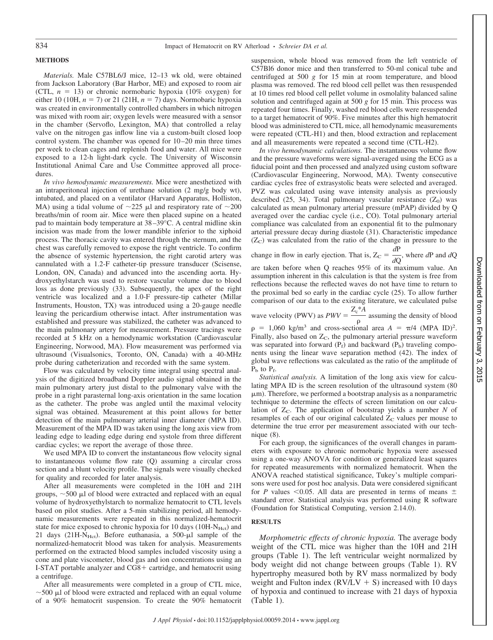## **METHODS**

*Materials.* Male C57BL6/J mice, 12–13 wk old, were obtained from Jackson Laboratory (Bar Harbor, ME) and exposed to room air (CTL,  $n = 13$ ) or chronic normobaric hypoxia (10% oxygen) for either 10 (10H,  $n = 7$ ) or 21 (21H,  $n = 7$ ) days. Normobaric hypoxia was created in environmentally controlled chambers in which nitrogen was mixed with room air; oxygen levels were measured with a sensor in the chamber (Servoflo, Lexington, MA) that controlled a relay valve on the nitrogen gas inflow line via a custom-built closed loop control system. The chamber was opened for  $10-20$  min three times per week to clean cages and replenish food and water. All mice were exposed to a 12-h light-dark cycle. The University of Wisconsin Institutional Animal Care and Use Committee approved all procedures.

*In vivo hemodynamic measurements.* Mice were anesthetized with an intraperitoneal injection of urethane solution (2 mg/g body wt), intubated, and placed on a ventilator (Harvard Apparatus, Holliston, MA) using a tidal volume of  $\sim$ 225  $\mu$ l and respiratory rate of  $\sim$ 200 breaths/min of room air. Mice were then placed supine on a heated pad to maintain body temperature at 38 –39°C. A central midline skin incision was made from the lower mandible inferior to the xiphoid process. The thoracic cavity was entered through the sternum, and the chest was carefully removed to expose the right ventricle. To confirm the absence of systemic hypertension, the right carotid artery was cannulated with a 1.2-F catheter-tip pressure transducer (Scisense, London, ON, Canada) and advanced into the ascending aorta. Hydroxyethylstarch was used to restore vascular volume due to blood loss as done previously (33). Subsequently, the apex of the right ventricle was localized and a 1.0-F pressure-tip catheter (Millar Instruments, Houston, TX) was introduced using a 20-gauge needle leaving the pericardium otherwise intact. After instrumentation was established and pressure was stabilized, the catheter was advanced to the main pulmonary artery for measurement. Pressure tracings were recorded at 5 kHz on a hemodynamic workstation (Cardiovascular Engineering, Norwood, MA). Flow measurement was performed via ultrasound (Visualsonics, Toronto, ON, Canada) with a 40-MHz probe during catheterization and recorded with the same system.

Flow was calculated by velocity time integral using spectral analysis of the digitized broadband Doppler audio signal obtained in the main pulmonary artery just distal to the pulmonary valve with the probe in a right parasternal long-axis orientation in the same location as the catheter. The probe was angled until the maximal velocity signal was obtained. Measurement at this point allows for better detection of the main pulmonary arterial inner diameter (MPA ID). Measurement of the MPA ID was taken using the long axis view from leading edge to leading edge during end systole from three different cardiac cycles; we report the average of those three.

We used MPA ID to convert the instantaneous flow velocity signal to instantaneous volume flow rate (Q) assuming a circular cross section and a blunt velocity profile. The signals were visually checked for quality and recorded for later analysis.

After all measurements were completed in the 10H and 21H groups,  $\sim$  500  $\mu$ l of blood were extracted and replaced with an equal volume of hydroxyethylstarch to normalize hematocrit to CTL levels based on pilot studies. After a 5-min stabilizing period, all hemodynamic measurements were repeated in this normalized-hematocrit state for mice exposed to chronic hypoxia for 10 days  $(10H-N<sub>Hct</sub>)$  and 21 days (21H-N<sub>Hct</sub>). Before euthanasia, a 500- $\mu$ l sample of the normalized-hematocrit blood was taken for analysis. Measurements performed on the extracted blood samples included viscosity using a cone and plate viscometer, blood gas and ion concentrations using an I-STAT portable analyzer and CG8+ cartridge, and hematocrit using a centrifuge.

After all measurements were completed in a group of CTL mice,  $\sim$  500  $\mu$ l of blood were extracted and replaced with an equal volume of a 90% hematocrit suspension. To create the 90% hematocrit

suspension, whole blood was removed from the left ventricle of C57Bl6 donor mice and then transferred to 50-ml conical tube and centrifuged at 500 *g* for 15 min at room temperature, and blood plasma was removed. The red blood cell pellet was then resuspended at 10 times red blood cell pellet volume in osmolality balanced saline solution and centrifuged again at 500 *g* for 15 min. This process was repeated four times. Finally, washed red blood cells were resuspended to a target hematocrit of 90%. Five minutes after this high hematocrit blood was administered to CTL mice, all hemodynamic measurements were repeated (CTL-H1) and then, blood extraction and replacement and all measurements were repeated a second time (CTL-H2).

*In vivo hemodynamic calculations.* The instantaneous volume flow and the pressure waveforms were signal-averaged using the ECG as a fiducial point and then processed and analyzed using custom software (Cardiovascular Engineering, Norwood, MA). Twenty consecutive cardiac cycles free of extrasystolic beats were selected and averaged. PVZ was calculated using wave intensity analysis as previously described  $(25, 34)$ . Total pulmonary vascular resistance  $(Z_0)$  was calculated as mean pulmonary arterial pressure (mPAP) divided by Q averaged over the cardiac cycle (i.e., CO). Total pulmonary arterial compliance was calculated from an exponential fit to the pulmonary arterial pressure decay during diastole (31). Characteristic impedance  $(Z<sub>C</sub>)$  was calculated from the ratio of the change in pressure to the

change in flow in early ejection. That is,  $Z_C = \frac{dP}{dQ}$ , where  $dP$  and  $dQ$ are taken before when Q reaches 95% of its maximum value. An assumption inherent in this calculation is that the system is free from reflections because the reflected waves do not have time to return to the proximal bed so early in the cardiac cycle (25). To allow further comparison of our data to the existing literature, we calculated pulse

wave velocity (PWV) as  $PWV = \frac{Z_c^* A}{\rho}$  assuming the density of blood

 $\rho = 1,060 \text{ kg/m}^3$  and cross-sectional area  $A = \pi/4$  (MPA ID)<sup>2</sup>. Finally, also based on  $Z_c$ , the pulmonary arterial pressure waveform was separated into forward  $(P_f)$  and backward  $(P_b)$  traveling components using the linear wave separation method (42). The index of global wave reflections was calculated as the ratio of the amplitude of  $P_b$  to  $P_f$ .

*Statistical analysis.* A limitation of the long axis view for calculating MPA ID is the screen resolution of the ultrasound system (80  $\mu$ m). Therefore, we performed a bootstrap analysis as a nonparametric technique to determine the effects of screen limitation on our calculation of  $Z<sub>C</sub>$ . The application of bootstrap yields a number  $N$  of resamples of each of our original calculated  $Z_C$  values per mouse to determine the true error per measurement associated with our technique (8).

For each group, the significances of the overall changes in parameters with exposure to chronic normobaric hypoxia were assessed using a one-way ANOVA for condition or generalized least squares for repeated measurements with normalized hematocrit. When the ANOVA reached statistical significance, Tukey's multiple comparisons were used for post hoc analysis. Data were considered significant for *P* values  $\leq 0.05$ . All data are presented in terms of means  $\pm$ standard error. Statistical analysis was performed using R software (Foundation for Statistical Computing, version 2.14.0).

# **RESULTS**

*Morphometric effects of chronic hypoxia.* The average body weight of the CTL mice was higher than the 10H and 21H groups (Table 1). The left ventricular weight normalized by body weight did not change between groups (Table 1). RV hypertrophy measured both by RV mass normalized by body weight and Fulton index  $(RV/LV + S)$  increased with 10 days of hypoxia and continued to increase with 21 days of hypoxia (Table 1).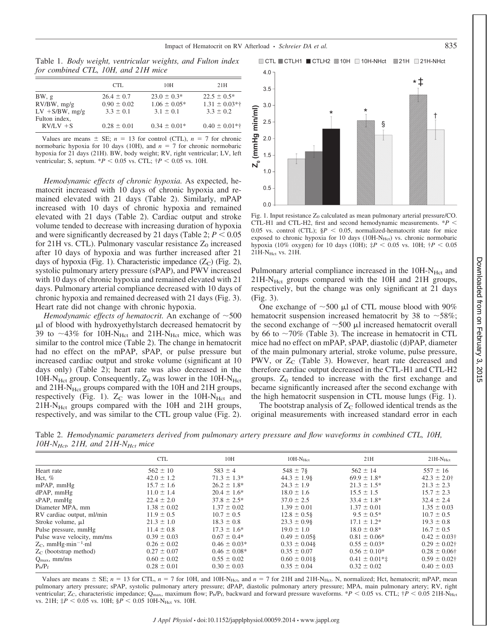Impact of Hematocrit on RV Afterload • *Schreier DA et al.* 835

■ CTL ■ CTLH1 ■ CTLH2 ■ 10H ■ 10H-NHct ■ 21H ■ 21H-NHct

Downloaded from on February 3, 2015

 $.2015$ 

Downloaded from on February 3,

Table 1. *Body weight, ventricular weights, and Fulton index for combined CTL, 10H, and 21H mice*

| CTL.            | 10H              | 21H               |
|-----------------|------------------|-------------------|
| $26.4 \pm 0.7$  | $23.0 \pm 0.3*$  | $22.5 \pm 0.5^*$  |
| $0.90 \pm 0.02$ | $1.06 \pm 0.05*$ | $1.31 \pm 0.03**$ |
| $3.3 \pm 0.1$   | $3.1 \pm 0.1$    | $3.3 \pm 0.2$     |
|                 |                  |                   |
| $0.28 \pm 0.01$ | $0.34 \pm 0.01*$ | $0.40 \pm 0.01**$ |
|                 |                  |                   |

Values are means  $\pm$  SE;  $n = 13$  for control (CTL),  $n = 7$  for chronic normobaric hypoxia for 10 days (10H), and  $n = 7$  for chronic normobaric hypoxia for 21 days (21H). BW, body weight; RV, right ventricular; LV, left ventricular; S, septum.  $*P < 0.05$  vs. CTL;  $\dagger P < 0.05$  vs. 10H.

*Hemodynamic effects of chronic hypoxia.* As expected, hematocrit increased with 10 days of chronic hypoxia and remained elevated with 21 days (Table 2). Similarly, mPAP increased with 10 days of chronic hypoxia and remained elevated with 21 days (Table 2). Cardiac output and stroke volume tended to decrease with increasing duration of hypoxia and were significantly decreased by 21 days (Table 2;  $P < 0.05$ ) for 21H vs. CTL). Pulmonary vascular resistance  $Z_0$  increased after 10 days of hypoxia and was further increased after 21 days of hypoxia (Fig. 1). Characteristic impedance  $(Z_C)$  (Fig. 2), systolic pulmonary artery pressure (sPAP), and PWV increased with 10 days of chronic hypoxia and remained elevated with 21 days. Pulmonary arterial compliance decreased with 10 days of chronic hypoxia and remained decreased with 21 days (Fig. 3). Heart rate did not change with chronic hypoxia.

Hemodynamic effects of hematocrit. An exchange of  $\sim$ 500 l of blood with hydroxyethylstarch decreased hematocrit by 39 to  $\sim$ 43% for 10H-N<sub>Hct</sub> and 21H-N<sub>Hct</sub> mice, which was similar to the control mice (Table 2). The change in hematocrit had no effect on the mPAP, sPAP, or pulse pressure but increased cardiac output and stroke volume (significant at 10 days only) (Table 2); heart rate was also decreased in the 10H-N<sub>Hct</sub> group. Consequently,  $Z_0$  was lower in the 10H-N<sub>Hct</sub> and  $21H-N<sub>Hct</sub>$  groups compared with the 10H and  $21H$  groups, respectively (Fig. 1).  $Z_C$  was lower in the 10H-N<sub>Hct</sub> and 21H-N<sub>Hct</sub> groups compared with the 10H and 21H groups, respectively, and was similar to the CTL group value (Fig. 2).



Fig. 1. Input resistance  $Z_0$  calculated as mean pulmonary arterial pressure/CO. CTL-H1 and CTL-H2, first and second hemodynamic measurements. \**P* 0.05 vs. control (CTL);  $\frac{8}{5}P < 0.05$ , normalized-hematocrit state for mice exposed to chronic hypoxia for 10 days (10H-N<sub>Hct</sub>) vs. chronic normobaric hypoxia (10% oxygen) for 10 days (10H);  $\ddagger P$  < 0.05 vs. 10H;  $\ddagger P$  < 0.05 21H-NHct vs. 21H.

Pulmonary arterial compliance increased in the 10H-N<sub>Hct</sub> and 21H-N<sub>Hct</sub> groups compared with the 10H and 21H groups, respectively, but the change was only significant at 21 days (Fig. 3).

One exchange of  $\sim$  500  $\mu$ l of CTL mouse blood with 90% hematocrit suspension increased hematocrit by 38 to  $\sim$  58%; the second exchange of  $\sim$  500  $\mu$ l increased hematocrit overall by 66 to  $\sim$ 70% (Table 3). The increase in hematocrit in CTL mice had no effect on mPAP, sPAP, diastolic (d)PAP, diameter of the main pulmonary arterial, stroke volume, pulse pressure, PWV, or  $Z_C$  (Table 3). However, heart rate decreased and therefore cardiac output decreased in the CTL-H1 and CTL-H2 groups.  $Z_0$  tended to increase with the first exchange and became significantly increased after the second exchange with the high hematocrit suspension in CTL mouse lungs (Fig. 1).

The bootstrap analysis of  $Z_C$  followed identical trends as the original measurements with increased standard error in each

Table 2. *Hemodynamic parameters derived from pulmonary artery pressure and flow waveforms in combined CTL, 10H, 10H-NHct, 21H, and 21H-NHct mice*

| $\cdots$                           |                 |                   |                  |                    |                        |
|------------------------------------|-----------------|-------------------|------------------|--------------------|------------------------|
|                                    | <b>CTL</b>      | 10H               | $10H-NHct$       | 21H                | $21H-NHct$             |
| Heart rate                         | $562 \pm 10$    | $583 \pm 4$       | $548 \pm 7$ §    | $562 \pm 14$       | $557 \pm 16$           |
| Hct, $%$                           | $42.0 \pm 1.2$  | $71.3 \pm 1.3^*$  | $44.3 \pm 1.9$ § | $69.9 \pm 1.8^*$   | $42.3 \pm 2.0$ †       |
| mPAP, mmHg                         | $15.7 \pm 1.6$  | $26.2 \pm 1.8^*$  | $24.3 \pm 1.9$   | $21.3 \pm 1.5^*$   | $21.3 \pm 2.3$         |
| $dPAP$ , mm $Hg$                   | $11.0 \pm 1.4$  | $20.4 \pm 1.6^*$  | $18.0 \pm 1.6$   | $15.5 \pm 1.5$     | $15.7 \pm 2.3$         |
| $sPAP$ , mm $Hg$                   | $22.4 \pm 2.0$  | $37.8 \pm 2.5^*$  | $37.0 \pm 2.5$   | $33.4 \pm 1.8^*$   | $32.4 \pm 2.4$         |
| Diameter MPA, mm                   | $1.38 \pm 0.02$ | $1.37 \pm 0.02$   | $1.39 \pm 0.01$  | $1.37 \pm 0.01$    | $1.35 \pm 0.03$        |
| RV cardiac output, ml/min          | $11.9 \pm 0.5$  | $10.7 \pm 0.5$    | $12.8 \pm 0.5$ § | $9.5 \pm 0.5^*$    | $10.7 \pm 0.5$         |
| Stroke volume, µ1                  | $21.3 \pm 1.0$  | $18.3 \pm 0.8$    | $23.3 \pm 0.98$  | $17.1 \pm 1.2^*$   | $19.3 \pm 0.8$         |
| Pulse pressure, mmHg               | $11.4 \pm 0.8$  | $17.3 \pm 1.6^*$  | $19.0 \pm 1.0$   | $18.0 \pm 0.8^*$   | $16.7 \pm 0.5$         |
| Pulse wave velocity, mm/ms         | $0.39 \pm 0.03$ | $0.67 \pm 0.4*$   | $0.49 \pm 0.058$ | $0.81 \pm 0.06*$   | $0.42 \pm 0.03$ †      |
| $Z_C$ , mmHg·min <sup>-1</sup> ·ml | $0.26 \pm 0.02$ | $0.46 \pm 0.03*$  | $0.33 \pm 0.048$ | $0.55 \pm 0.03*$   | $0.29 \pm 0.02$ †      |
| $Z_{\rm C}$ (bootstrap method)     | $0.27 \pm 0.07$ | $0.46 \pm 0.08^*$ | $0.35 \pm 0.07$  | $0.56 \pm 0.10^*$  | $0.28 \pm 0.06\dagger$ |
| $Q_{\text{max}}$ , mm/ms           | $0.60 \pm 0.02$ | $0.55 \pm 0.02$   | $0.60 \pm 0.018$ | $0.41 \pm 0.01$ *‡ | $0.59 \pm 0.02$ †      |
| $P_h/P_f$                          | $0.28 \pm 0.01$ | $0.30 \pm 0.03$   | $0.35 \pm 0.04$  | $0.32 \pm 0.02$    | $0.40 \pm 0.03$        |

Values are means  $\pm$  SE;  $n = 13$  for CTL,  $n = 7$  for 10H, and 10H-N<sub>Hct</sub>, and  $n = 7$  for 21H and 21H-N<sub>Hct</sub>. N, normalized; Hct, hematocrit; mPAP, mean pulmonary artery pressure; sPAP, systolic pulmonary artery pressure; dPAP, diastolic pulmonary artery pressure; MPA, main pulmonary artery; RV, right ventricular; Z<sub>C</sub>, characteristic impedance; Q<sub>max</sub>, maximum flow; P<sub>b</sub>/P<sub>f</sub>, backward and forward pressure waveforms. \**P* < 0.05 vs. CTL;  $\dagger P$  < 0.05 21H-N<sub>Hct</sub> vs. 21H;  $\ddagger P$  < 0.05 vs. 10H;  $\frac{8}{5}P$  < 0.05 10H-N<sub>Hct</sub> vs. 10H.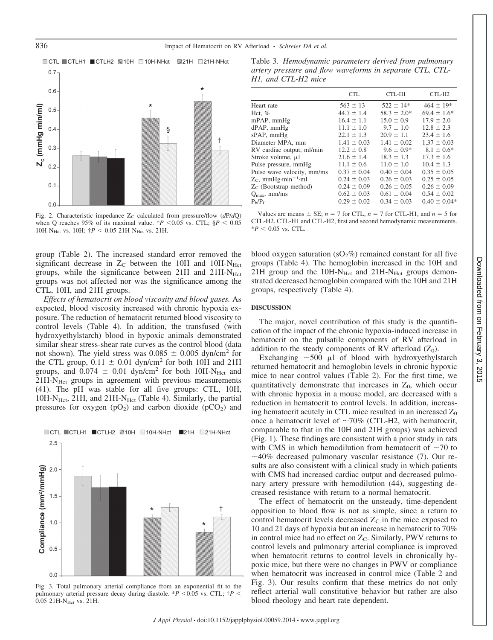

Fig. 2. Characteristic impedance  $Z_C$  calculated from pressure/flow ( $dP/dQ$ ) when Q reaches 95% of its maximal value.  $*P$  < 0.05 vs. CTL;  $\$P$  < 0.05 10H-N<sub>Hct</sub> vs. 10H;  $\uparrow$ P < 0.05 21H-N<sub>Hct</sub> vs. 21H.

group (Table 2). The increased standard error removed the significant decrease in  $Z_{\rm C}$  between the 10H and 10H-N $_{\rm Het}$ groups, while the significance between  $21H$  and  $21H-N<sub>Hct</sub>$ groups was not affected nor was the significance among the CTL, 10H, and 21H groups.

*Effects of hematocrit on blood viscosity and blood gases.* As expected, blood viscosity increased with chronic hypoxia exposure. The reduction of hematocrit returned blood viscosity to control levels (Table 4). In addition, the transfused (with hydroxyethylstarch) blood in hypoxic animals demonstrated similar shear stress-shear rate curves as the control blood (data not shown). The yield stress was  $0.085 \pm 0.005$  dyn/cm<sup>2</sup> for the CTL group,  $0.11 \pm 0.01$  dyn/cm<sup>2</sup> for both 10H and 21H groups, and  $0.074 \pm 0.01$  dyn/cm<sup>2</sup> for both 10H-N<sub>Hct</sub> and  $21H-N<sub>Hct</sub>$  groups in agreement with previous measurements (41). The pH was stable for all five groups: CTL, 10H,  $10H-N<sub>Hct</sub>$ ,  $21H$ , and  $21H-N<sub>Hct</sub>$  (Table 4). Similarly, the partial pressures for oxygen  $(pO_2)$  and carbon dioxide  $(pCO_2)$  and



Fig. 3. Total pulmonary arterial compliance from an exponential fit to the pulmonary arterial pressure decay during diastole.  $*P$  <0.05 vs. CTL;  $\dagger P$  < 0.05 21H-N<sub>Hct</sub> vs. 21H.

Table 3. *Hemodynamic parameters derived from pulmonary artery pressure and flow waveforms in separate CTL, CTL-H1, and CTL-H2 mice*

|                                    | <b>CTL</b>      | CTL-H1           | CTL-H <sub>2</sub> |
|------------------------------------|-----------------|------------------|--------------------|
| Heart rate                         | $563 \pm 13$    | $522 \pm 14*$    | $464 \pm 19$ *     |
| Hct, $%$                           | $44.7 \pm 1.4$  | $58.3 \pm 2.0^*$ | $69.4 \pm 1.6^*$   |
| $mPAP$ , $mmHg$                    | $16.4 \pm 1.1$  | $15.0 \pm 0.9$   | $17.9 \pm 2.0$     |
| dPAP, mmHg                         | $11.1 \pm 1.0$  | $9.7 \pm 1.0$    | $12.8 \pm 2.3$     |
| $sPAP$ , mm $Hg$                   | $22.1 \pm 1.3$  | $20.9 \pm 1.1$   | $23.4 \pm 1.6$     |
| Diameter MPA, mm                   | $1.41 \pm 0.03$ | $1.41 \pm 0.02$  | $1.37 \pm 0.03$    |
| RV cardiac output, ml/min          | $12.2 \pm 0.8$  | $9.6 \pm 0.9*$   | $8.1 \pm 0.6^*$    |
| Stroke volume, µl                  | $21.6 \pm 1.4$  | $18.3 \pm 1.3$   | $17.3 \pm 1.6$     |
| Pulse pressure, mmHg               | $11.1 \pm 0.6$  | $11.0 \pm 1.0$   | $10.4 \pm 1.3$     |
| Pulse wave velocity, mm/ms         | $0.37 \pm 0.04$ | $0.40 \pm 0.04$  | $0.35 \pm 0.05$    |
| $Z_C$ , mmHg·min <sup>-1</sup> ·ml | $0.24 \pm 0.03$ | $0.26 \pm 0.03$  | $0.25 \pm 0.05$    |
| $Z_{\rm C}$ (Bootstrap method)     | $0.24 \pm 0.09$ | $0.26 \pm 0.05$  | $0.26 \pm 0.09$    |
| $Q_{\text{max}}$ , mm/ms           | $0.62 \pm 0.03$ | $0.61 \pm 0.04$  | $0.54 \pm 0.02$    |
| $P_b/P_f$                          | $0.29 \pm 0.02$ | $0.34 \pm 0.03$  | $0.40 \pm 0.04*$   |
|                                    |                 |                  |                    |

Values are means  $\pm$  SE;  $n = 7$  for CTL,  $n = 7$  for CTL-H1, and  $n = 5$  for CTL-H2. CTL-H1 and CTL-H2, first and second hemodynamic measurements.  $*P < 0.05$  vs. CTL.

blood oxygen saturation ( $sO_2\%$ ) remained constant for all five groups (Table 4). The hemoglobin increased in the 10H and  $21H$  group and the  $10H-N_{Hct}$  and  $21H-N_{Hct}$  groups demonstrated decreased hemoglobin compared with the 10H and 21H groups, respectively (Table 4).

#### **DISCUSSION**

The major, novel contribution of this study is the quantification of the impact of the chronic hypoxia-induced increase in hematocrit on the pulsatile components of RV afterload in addition to the steady components of RV afterload  $(Z_0)$ .

Exchanging  $\sim$  500  $\mu$ l of blood with hydroxyethylstarch returned hematocrit and hemoglobin levels in chronic hypoxic mice to near control values (Table 2). For the first time, we quantitatively demonstrate that increases in  $Z_0$ , which occur with chronic hypoxia in a mouse model, are decreased with a reduction in hematocrit to control levels. In addition, increasing hematocrit acutely in CTL mice resulted in an increased  $Z_0$ once a hematocrit level of  $\sim 70\%$  (CTL-H2, with hematocrit, comparable to that in the 10H and 21H groups) was achieved (Fig. 1). These findings are consistent with a prior study in rats with CMS in which hemodilution from hematocrit of  $\sim$ 70 to  $\sim$  40% decreased pulmonary vascular resistance (7). Our results are also consistent with a clinical study in which patients with CMS had increased cardiac output and decreased pulmonary artery pressure with hemodilution (44), suggesting decreased resistance with return to a normal hematocrit.

The effect of hematocrit on the unsteady, time-dependent opposition to blood flow is not as simple, since a return to control hematocrit levels decreased  $Z_{\rm C}$  in the mice exposed to 10 and 21 days of hypoxia but an increase in hematocrit to 70% in control mice had no effect on  $Z<sub>C</sub>$ . Similarly, PWV returns to control levels and pulmonary arterial compliance is improved when hematocrit returns to control levels in chronically hypoxic mice, but there were no changes in PWV or compliance when hematocrit was increased in control mice (Table 2 and Fig. 3). Our results confirm that these metrics do not only reflect arterial wall constitutive behavior but rather are also blood rheology and heart rate dependent.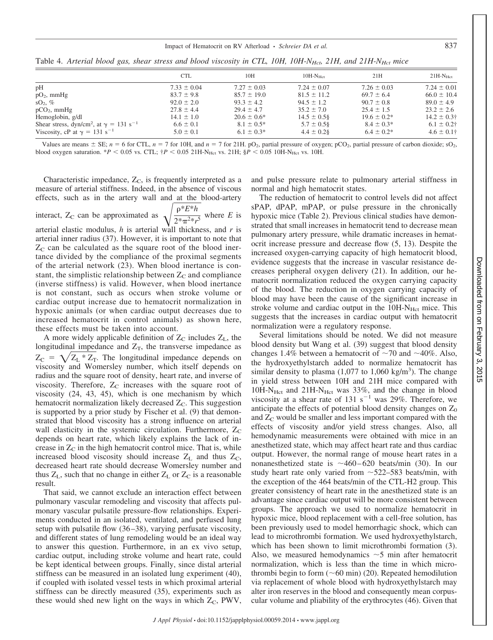# Impact of Hematocrit on RV Afterload · *Schreier DA et al.* 837

|                                                                       | <b>CTL</b>      | 10H              | $10H-NHer$      | 21H              | $21H-NHer$      |
|-----------------------------------------------------------------------|-----------------|------------------|-----------------|------------------|-----------------|
|                                                                       | $7.33 \pm 0.04$ | $7.27 \pm 0.03$  | $7.24 \pm 0.07$ | $7.26 \pm 0.03$  | $7.24 \pm 0.01$ |
| pH<br>$pO_2$ , mmHg                                                   | $83.7 \pm 9.8$  | $85.7 \pm 19.0$  | $81.5 \pm 11.2$ | $69.7 \pm 6.4$   | $66.0 \pm 10.4$ |
| $SO2, \%$                                                             | $92.0 \pm 2.0$  | $93.3 \pm 4.2$   | $94.5 \pm 1.2$  | $90.7 \pm 0.8$   | $89.0 \pm 4.9$  |
| $pCO2$ , mmHg                                                         | $27.8 \pm 4.4$  | $29.4 \pm 4.7$   | $35.2 \pm 7.0$  | $25.4 \pm 1.5$   | $23.2 \pm 2.6$  |
| Hemoglobin, g/dl                                                      | $14.1 \pm 1.0$  | $20.6 \pm 0.6^*$ | $14.5 \pm 0.58$ | $19.6 \pm 0.2^*$ | $14.2 \pm 0.3$  |
| Shear stress, dyn/cm <sup>2</sup> , at $\gamma = 131$ s <sup>-1</sup> | $6.6 \pm 0.1$   | $8.1 \pm 0.5^*$  | $5.7 \pm 0.58$  | $8.4 \pm 0.3*$   | $6.1 \pm 0.2$ † |
| Viscosity, cP at $\gamma = 131$ s <sup>-1</sup>                       | $5.0 \pm 0.1$   | $6.1 \pm 0.3^*$  | $4.4 \pm 0.28$  | $6.4 \pm 0.2^*$  | $4.6 \pm 0.1$   |

Table 4. Arterial blood gas, shear stress and blood viscosity in CTL, 10H, 10H-N<sub>Hct</sub>, 21H, and 21H-N<sub>Hct</sub> mice

Values are means  $\pm$  SE;  $n = 6$  for CTL,  $n = 7$  for 10H, and  $n = 7$  for 21H. pO<sub>2</sub>, partial pressure of oxygen; pCO<sub>2</sub>, partial pressure of carbon dioxide; sO<sub>2</sub>, blood oxygen saturation. \**P* < 0.05 vs. CTL;  $\frac{1}{7}P$  < 0.05 21H-N<sub>Hct</sub> vs. 21H;  $\frac{8P}{5}$  < 0.05 10H-N<sub>Hct</sub> vs. 10H.

Characteristic impedance,  $Z_C$ , is frequently interpreted as a measure of arterial stiffness. Indeed, in the absence of viscous effects, such as in the artery wall and at the blood-artery

interact,  $Z_C$  can be approximated as  $\sqrt{\frac{\rho^* E^* h}{2^* \pi^2 * r}}$  $2*\pi^{2}*r$ where  $E$  is arterial elastic modulus, *h* is arterial wall thickness, and *r* is arterial inner radius (37). However, it is important to note that  $Z<sub>C</sub>$  can be calculated as the square root of the blood inertance divided by the compliance of the proximal segments of the arterial network (23). When blood inertance is constant, the simplistic relationship between  $Z_C$  and compliance (inverse stiffness) is valid. However, when blood inertance is not constant, such as occurs when stroke volume or cardiac output increase due to hematocrit normalization in hypoxic animals (or when cardiac output decreases due to increased hematocrit in control animals) as shown here, these effects must be taken into account.

A more widely applicable definition of  $Z_C$  includes  $Z_L$ , the longitudinal impedance and  $Z_T$ , the transverse impedance as  $Z_C = \sqrt{Z_L * Z_T}$ . The longitudinal impedance depends on viscosity and Womersley number, which itself depends on radius and the square root of density, heart rate, and inverse of viscosity. Therefore,  $Z_C$  increases with the square root of viscosity (24, 43, 45), which is one mechanism by which hematocrit normalization likely decreased  $Z<sub>C</sub>$ . This suggestion is supported by a prior study by Fischer et al. (9) that demonstrated that blood viscosity has a strong influence on arterial wall elasticity in the systemic circulation. Furthermore,  $Z_C$ depends on heart rate, which likely explains the lack of increase in  $Z_{\rm C}$  in the high hematocrit control mice. That is, while increased blood viscosity should increase  $Z_L$  and thus  $Z_C$ , decreased heart rate should decrease Womersley number and thus  $Z_L$ , such that no change in either  $Z_L$  or  $Z_C$  is a reasonable result.

That said, we cannot exclude an interaction effect between pulmonary vascular remodeling and viscosity that affects pulmonary vascular pulsatile pressure-flow relationships. Experiments conducted in an isolated, ventilated, and perfused lung setup with pulsatile flow (36–38), varying perfusate viscosity, and different states of lung remodeling would be an ideal way to answer this question. Furthermore, in an ex vivo setup, cardiac output, including stroke volume and heart rate, could be kept identical between groups. Finally, since distal arterial stiffness can be measured in an isolated lung experiment (40), if coupled with isolated vessel tests in which proximal arterial stiffness can be directly measured (35), experiments such as these would shed new light on the ways in which  $Z_c$ , PWV,

and pulse pressure relate to pulmonary arterial stiffness in normal and high hematocrit states.

The reduction of hematocrit to control levels did not affect sPAP, dPAP, mPAP, or pulse pressure in the chronically hypoxic mice (Table 2). Previous clinical studies have demonstrated that small increases in hematocrit tend to decrease mean pulmonary artery pressure, while dramatic increases in hematocrit increase pressure and decrease flow (5, 13). Despite the increased oxygen-carrying capacity of high hematocrit blood, evidence suggests that the increase in vascular resistance decreases peripheral oxygen delivery (21). In addition, our hematocrit normalization reduced the oxygen carrying capacity of the blood. The reduction in oxygen carrying capacity of blood may have been the cause of the significant increase in stroke volume and cardiac output in the  $10H-N<sub>Hct</sub>$  mice. This suggests that the increases in cardiac output with hematocrit normalization were a regulatory response.

Several limitations should be noted. We did not measure blood density but Wang et al. (39) suggest that blood density changes 1.4% between a hematocrit of  $\sim$ 70 and  $\sim$ 40%. Also, the hydroxyethylstarch added to normalize hematocrit has similar density to plasma  $(1,077$  to  $1,060$  kg/m<sup>3</sup>). The change in yield stress between 10H and 21H mice compared with  $10H-N<sub>Hct</sub>$  and  $21H-N<sub>Hct</sub>$  was 33%, and the change in blood viscosity at a shear rate of 131  $s^{-1}$  was 29%. Therefore, we anticipate the effects of potential blood density changes on  $Z_0$ and  $Z<sub>C</sub>$  would be smaller and less important compared with the effects of viscosity and/or yield stress changes. Also, all hemodynamic measurements were obtained with mice in an anesthetized state, which may affect heart rate and thus cardiac output. However, the normal range of mouse heart rates in a nonanesthetized state is  $\sim$  460–620 beats/min (30). In our study heart rate only varied from  $\sim$  522–583 beats/min, with the exception of the 464 beats/min of the CTL-H2 group. This greater consistency of heart rate in the anesthetized state is an advantage since cardiac output will be more consistent between groups. The approach we used to normalize hematocrit in hypoxic mice, blood replacement with a cell-free solution, has been previously used to model hemorrhagic shock, which can lead to microthrombi formation. We used hydroxyethylstarch, which has been shown to limit microthrombi formation (3). Also, we measured hemodynamics  $\sim$  5 min after hematocrit normalization, which is less than the time in which microthrombi begin to form  $(\sim 60 \text{ min})$  (20). Repeated hemodilution via replacement of whole blood with hydroxyethylstarch may alter iron reserves in the blood and consequently mean corpuscular volume and pliability of the erythrocytes (46). Given that Downloaded from on February 3,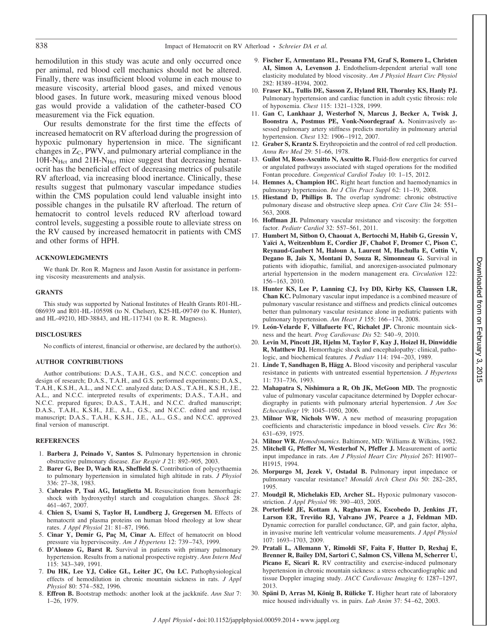hemodilution in this study was acute and only occurred once per animal, red blood cell mechanics should not be altered. Finally, there was insufficient blood volume in each mouse to measure viscosity, arterial blood gases, and mixed venous blood gases. In future work, measuring mixed venous blood gas would provide a validation of the catheter-based CO measurement via the Fick equation.

Our results demonstrate for the first time the effects of increased hematocrit on RV afterload during the progression of hypoxic pulmonary hypertension in mice. The significant changes in  $Z_C$ , PWV, and pulmonary arterial compliance in the  $10H-N<sub>Hct</sub>$  and  $21H-N<sub>Hct</sub>$  mice suggest that decreasing hematocrit has the beneficial effect of decreasing metrics of pulsatile RV afterload, via increasing blood inertance. Clinically, these results suggest that pulmonary vascular impedance studies within the CMS population could lend valuable insight into possible changes in the pulsatile RV afterload. The return of hematocrit to control levels reduced RV afterload toward control levels, suggesting a possible route to alleviate stress on the RV caused by increased hematocrit in patients with CMS and other forms of HPH.

### **ACKNOWLEDGMENTS**

We thank Dr. Ron R. Magness and Jason Austin for assistance in performing viscosity measurements and analysis.

### **GRANTS**

This study was supported by National Institutes of Health Grants R01-HL-086939 and R01-HL-105598 (to N. Chelser), K25-HL-09749 (to K. Hunter), and HL-49210, HD-38843, and HL-117341 (to R. R. Magness).

#### **DISCLOSURES**

No conflicts of interest, financial or otherwise, are declared by the author(s).

#### **AUTHOR CONTRIBUTIONS**

Author contributions: D.A.S., T.A.H., G.S., and N.C.C. conception and design of research; D.A.S., T.A.H., and G.S. performed experiments; D.A.S., T.A.H., K.S.H., A.L., and N.C.C. analyzed data; D.A.S., T.A.H., K.S.H., J.E., A.L., and N.C.C. interpreted results of experiments; D.A.S., T.A.H., and N.C.C. prepared figures; D.A.S., T.A.H., and N.C.C. drafted manuscript; D.A.S., T.A.H., K.S.H., J.E., A.L., G.S., and N.C.C. edited and revised manuscript; D.A.S., T.A.H., K.S.H., J.E., A.L., G.S., and N.C.C. approved final version of manuscript.

#### **REFERENCES**

- 1. **Barbera J, Peinado V, Santos S.** Pulmonary hypertension in chronic obstructive pulmonary disease. *Eur Respir J* 21: 892–905, 2003.
- 2. **Barer G, Bee D, Wach RA, Sheffield S.** Contribution of polycythaemia to pulmonary hypertension in simulated high altitude in rats. *J Physiol* 336: 27–38, 1983.
- 3. **Cabrales P, Tsai AG, Intaglietta M.** Resuscitation from hemorrhagic shock with hydroxyethyl starch and coagulation changes. *Shock* 28: 461–467, 2007.
- 4. **Chien S, Usami S, Taylor H, Lundberg J, Gregersen M.** Effects of hematocrit and plasma proteins on human blood rheology at low shear rates. *J Appl Physiol* 21: 81–87, 1966.
- 5. **Cinar Y, Demir G, Paç M, Cinar A.** Effect of hematocrit on blood pressure via hyperviscosity. *Am J Hypertens* 12: 739 –743, 1999.
- 6. **D'Alonzo G, Barst R.** Survival in patients with primary pulmonary hypertension. Results from a national prospective registry. *Ann Intern Med* 115: 343–349, 1991.
- 7. **Du HK, Lee YJ, Colice GL, Leiter JC, Ou LC.** Pathophysiological effects of hemodilution in chronic mountain sickness in rats. *J Appl Physiol* 80: 574 –582, 1996.
- 8. **Effron B.** Bootstrap methods: another look at the jackknife. *Ann Stat* 7: 1–26, 1979.
- 9. **Fischer E, Armentano RL, Pessana FM, Graf S, Romero L, Christen AI, Simon A, Levenson J.** Endothelium-dependent arterial wall tone elasticity modulated by blood viscosity. *Am J Physiol Heart Circ Physiol* 282: H389 –H394, 2002.
- 10. **Fraser KL, Tullis DE, Sasson Z, Hyland RH, Thornley KS, Hanly PJ.** Pulmonary hypertension and cardiac function in adult cystic fibrosis: role of hypoxemia. *Chest* 115: 1321–1328, 1999.
- 11. **Gan C, Lankhaar J, Westerhof N, Marcus J, Becker A, Twisk J, Boonstra A, Postmus PE, Vonk-Noordegraaf A.** Noninvasively assessed pulmonary artery stiffness predicts mortality in pulmonary arterial hypertension. *Chest* 132: 1906 –1912, 2007.
- 12. **Graber S, Krantz S.** Erythropoietin and the control of red cell production. *Annu Rev Med* 29: 51–66, 1978.
- 13. **Guilot M, Ross-Ascuitto N, Ascuitto R.** Fluid-flow energetics for curved or angulated pathways associated with staged operations for the modified Fontan procedure. *Congentical Cardiol Today* 10: 1–15, 2012.
- 14. **Hemnes A, Champion HC.** Right heart function and haemodynamics in pulmonary hypertension. *Int J Clin Pract Suppl* 62: 11–19, 2008.
- 15. **Hiestand D, Phillips B.** The overlap syndrome: chronic obstructive pulmonary disease and obstructive sleep apnea. *Crit Care Clin* 24: 551– 563, 2008.
- 16. **Hoffman JI.** Pulmonary vascular resistance and viscosity: the forgotten factor. *Pediatr Cardiol* 32: 557–561, 2011.
- 17. **Humbert M, Sitbon O, Chaouat A, Bertocchi M, Habib G, Gressin V, Yaïci A, Weitzenblum E, Cordier JF, Chabot F, Dromer C, Pison C, Reynaud-Gaubert M, Haloun A, Laurent M, Hachulla E, Cottin V, Degano B, Jaïs X, Montani D, Souza R, Simonneau G.** Survival in patients with idiopathic, familial, and anorexigen-associated pulmonary arterial hypertension in the modern management era. *Circulation* 122: 156 –163, 2010.
- 18. **Hunter KS, Lee P, Lanning CJ, Ivy DD, Kirby KS, Claussen LR, Chan KC.** Pulmonary vascular input impedance is a combined measure of pulmonary vascular resistance and stiffness and predicts clinical outcomes better than pulmonary vascular resistance alone in pediatric patients with pulmonary hypertension. Am Heart J 155: 166-174, 2008.
- 19. **León-Velarde F, Villafuerte FC, Richalet JP.** Chronic mountain sickness and the heart. *Prog Cardiovasc Dis* 52: 540 –9, 2010.
- 20. **Levin M, Pincott JR, Hjelm M, Taylor F, Kay J, Hoizel H, Dinwiddie R, Matthew DJ.** Hemorrhagic shock and encephalopathy: clinical, pathologic, and biochemical features. *J Pediatr* 114: 194 –203, 1989.
- 21. **Linde T, Sandhagen B, Hägg A.** Blood viscosity and peripheral vascular resistance in patients with untreated essential hypertension. *J Hypertens* 11: 731–736, 1993.
- 22. **Mahapatra S, Nishimura a R, Oh JK, McGoon MD.** The prognostic value of pulmonary vascular capacitance determined by Doppler echocardiography in patients with pulmonary arterial hypertension. *J Am Soc Echocardiogr* 19: 1045–1050, 2006.
- 23. **Milnor WR, Nichols WW.** A new method of measuring propagation coefficients and characteristic impedance in blood vessels. *Circ Res* 36: 631–639, 1975.
- 24. **Milnor WR.** *Hemodynamics*. Baltimore, MD: Williams & Wilkins, 1982.
- 25. **Mitchell G, Pfeffer M, Westerhof N, Pfeffer J.** Measurement of aortic input impedance in rats. *Am J Physiol Heart Circ Physiol* 267: H1907– H1915, 1994.
- 26. **Morpurgo M, Jezek V, Ostadal B.** Pulmonary input impedance or pulmonary vascular resistance? *Monaldi Arch Chest Dis* 50: 282–285, 1995.
- 27. **Moudgil R, Michelakis ED, Archer SL.** Hypoxic pulmonary vasoconstriction. *J Appl Physiol* 98: 390 –403, 2005.
- 28. **Porterfield JE, Kottam A, Raghavan K, Escobedo D, Jenkins JT, Larson ER, Treviño RJ, Valvano JW, Pearce a J, Feldman MD.** Dynamic correction for parallel conductance, GP, and gain factor, alpha, in invasive murine left ventricular volume measurements. *J Appl Physiol* 107: 1693–1703, 2009.
- 29. **Pratali L, Allemann Y, Rimoldi SF, Faita F, Hutter D, Rexhaj E, Brenner R, Bailey DM, Sartori C, Salmon CS, Villena M, Scherrer U,** Picano E, Sicari R. RV contractility and exercise-induced pulmonary hypertension in chronic mountain sickness: a stress echocardiographic and tissue Doppler imaging study. *JACC Cardiovasc Imaging* 6: 1287–1297, 2013.
- 30. **Späni D, Arras M, König B, Rülicke T.** Higher heart rate of laboratory mice housed individually vs. in pairs. *Lab Anim* 37: 54 –62, 2003.

Downloaded from on February Downloaded from on February 3, 2015

نب  $.2015$